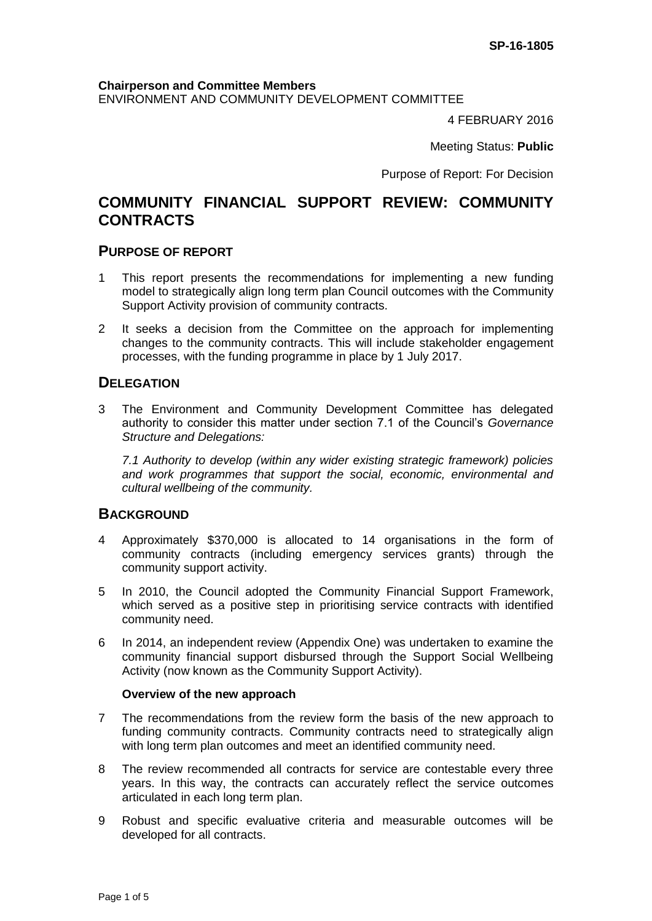#### **Chairperson and Committee Members**

ENVIRONMENT AND COMMUNITY DEVELOPMENT COMMITTEE

4 FEBRUARY 2016

Meeting Status: **Public**

Purpose of Report: For Decision

# **COMMUNITY FINANCIAL SUPPORT REVIEW: COMMUNITY CONTRACTS**

## **PURPOSE OF REPORT**

- 1 This report presents the recommendations for implementing a new funding model to strategically align long term plan Council outcomes with the Community Support Activity provision of community contracts.
- 2 It seeks a decision from the Committee on the approach for implementing changes to the community contracts. This will include stakeholder engagement processes, with the funding programme in place by 1 July 2017.

## **DELEGATION**

3 The Environment and Community Development Committee has delegated authority to consider this matter under section 7.1 of the Council's *Governance Structure and Delegations:* 

*7.1 Authority to develop (within any wider existing strategic framework) policies and work programmes that support the social, economic, environmental and cultural wellbeing of the community.*

# **BACKGROUND**

- 4 Approximately \$370,000 is allocated to 14 organisations in the form of community contracts (including emergency services grants) through the community support activity.
- 5 In 2010, the Council adopted the Community Financial Support Framework, which served as a positive step in prioritising service contracts with identified community need.
- 6 In 2014, an independent review (Appendix One) was undertaken to examine the community financial support disbursed through the Support Social Wellbeing Activity (now known as the Community Support Activity).

#### **Overview of the new approach**

- 7 The recommendations from the review form the basis of the new approach to funding community contracts. Community contracts need to strategically align with long term plan outcomes and meet an identified community need.
- 8 The review recommended all contracts for service are contestable every three years. In this way, the contracts can accurately reflect the service outcomes articulated in each long term plan.
- 9 Robust and specific evaluative criteria and measurable outcomes will be developed for all contracts.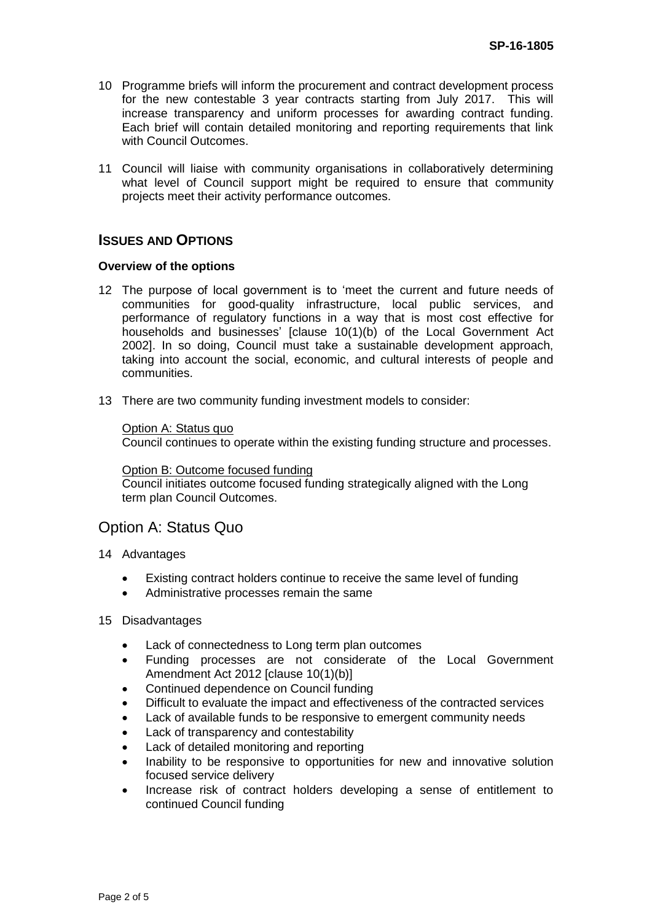- 10 Programme briefs will inform the procurement and contract development process for the new contestable 3 year contracts starting from July 2017. This will increase transparency and uniform processes for awarding contract funding. Each brief will contain detailed monitoring and reporting requirements that link with Council Outcomes.
- 11 Council will liaise with community organisations in collaboratively determining what level of Council support might be required to ensure that community projects meet their activity performance outcomes.

# **ISSUES AND OPTIONS**

### **Overview of the options**

- 12 The purpose of local government is to 'meet the current and future needs of communities for good-quality infrastructure, local public services, and performance of regulatory functions in a way that is most cost effective for households and businesses' [clause 10(1)(b) of the Local Government Act 2002]. In so doing, Council must take a sustainable development approach, taking into account the social, economic, and cultural interests of people and communities.
- 13 There are two community funding investment models to consider:

### Option A: Status quo

Council continues to operate within the existing funding structure and processes.

#### Option B: Outcome focused funding

Council initiates outcome focused funding strategically aligned with the Long term plan Council Outcomes.

# Option A: Status Quo

- 14 Advantages
	- Existing contract holders continue to receive the same level of funding
	- Administrative processes remain the same

#### 15 Disadvantages

- Lack of connectedness to Long term plan outcomes
- Funding processes are not considerate of the Local Government Amendment Act 2012 [clause 10(1)(b)]
- Continued dependence on Council funding
- Difficult to evaluate the impact and effectiveness of the contracted services
- Lack of available funds to be responsive to emergent community needs
- Lack of transparency and contestability
- Lack of detailed monitoring and reporting
- Inability to be responsive to opportunities for new and innovative solution focused service delivery
- Increase risk of contract holders developing a sense of entitlement to continued Council funding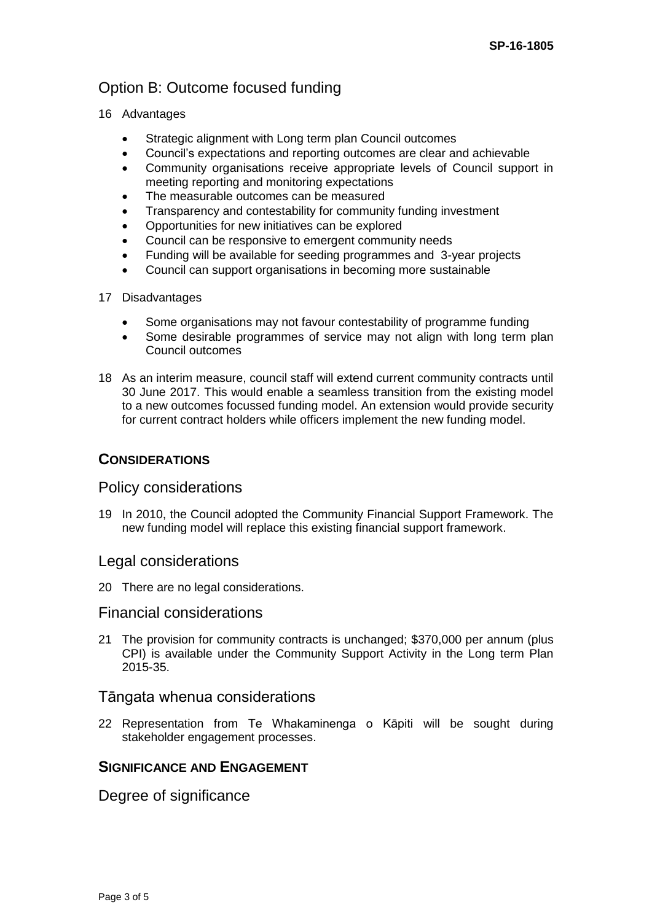# Option B: Outcome focused funding

- 16 Advantages
	- Strategic alignment with Long term plan Council outcomes
	- Council's expectations and reporting outcomes are clear and achievable
	- Community organisations receive appropriate levels of Council support in meeting reporting and monitoring expectations
	- The measurable outcomes can be measured
	- Transparency and contestability for community funding investment
	- Opportunities for new initiatives can be explored
	- Council can be responsive to emergent community needs
	- Funding will be available for seeding programmes and 3-year projects
	- Council can support organisations in becoming more sustainable

## 17 Disadvantages

- Some organisations may not favour contestability of programme funding
- Some desirable programmes of service may not align with long term plan Council outcomes
- 18 As an interim measure, council staff will extend current community contracts until 30 June 2017. This would enable a seamless transition from the existing model to a new outcomes focussed funding model. An extension would provide security for current contract holders while officers implement the new funding model.

# **CONSIDERATIONS**

# Policy considerations

19 In 2010, the Council adopted the Community Financial Support Framework. The new funding model will replace this existing financial support framework.

# Legal considerations

20 There are no legal considerations.

# Financial considerations

21 The provision for community contracts is unchanged; \$370,000 per annum (plus CPI) is available under the Community Support Activity in the Long term Plan 2015-35.

# Tāngata whenua considerations

22 Representation from Te Whakaminenga o Kāpiti will be sought during stakeholder engagement processes.

# **SIGNIFICANCE AND ENGAGEMENT**

Degree of significance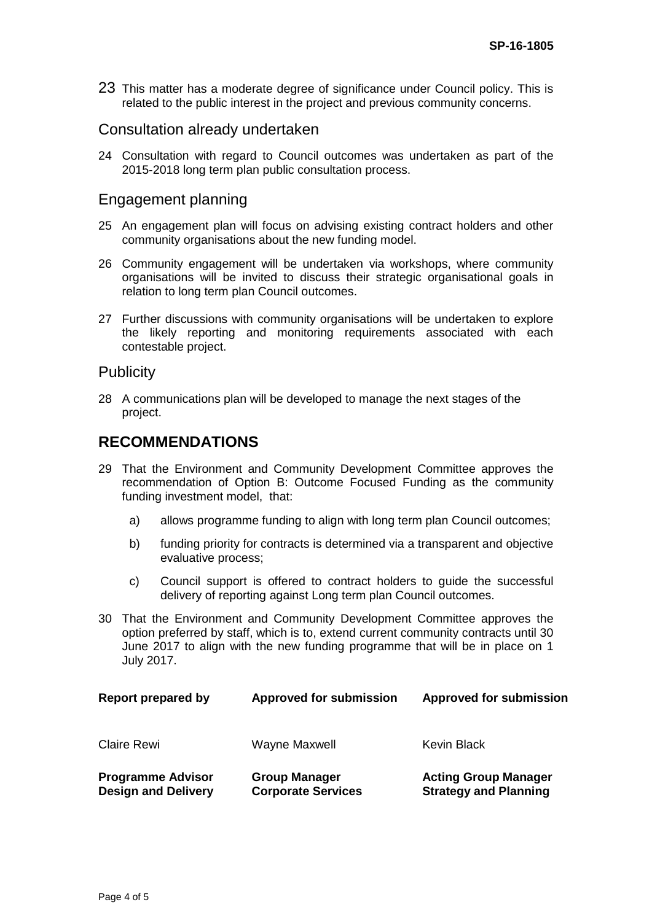23 This matter has a moderate degree of significance under Council policy. This is related to the public interest in the project and previous community concerns.

## Consultation already undertaken

24 Consultation with regard to Council outcomes was undertaken as part of the 2015-2018 long term plan public consultation process.

## Engagement planning

- 25 An engagement plan will focus on advising existing contract holders and other community organisations about the new funding model.
- 26 Community engagement will be undertaken via workshops, where community organisations will be invited to discuss their strategic organisational goals in relation to long term plan Council outcomes.
- 27 Further discussions with community organisations will be undertaken to explore the likely reporting and monitoring requirements associated with each contestable project.

## **Publicity**

28 A communications plan will be developed to manage the next stages of the project.

# **RECOMMENDATIONS**

- 29 That the Environment and Community Development Committee approves the recommendation of Option B: Outcome Focused Funding as the community funding investment model, that:
	- a) allows programme funding to align with long term plan Council outcomes;
	- b) funding priority for contracts is determined via a transparent and objective evaluative process;
	- c) Council support is offered to contract holders to guide the successful delivery of reporting against Long term plan Council outcomes.
- 30 That the Environment and Community Development Committee approves the option preferred by staff, which is to, extend current community contracts until 30 June 2017 to align with the new funding programme that will be in place on 1 July 2017.

| Report prepared by                                     | <b>Approved for submission</b>                    | <b>Approved for submission</b>                              |
|--------------------------------------------------------|---------------------------------------------------|-------------------------------------------------------------|
| <b>Claire Rewi</b>                                     | Wayne Maxwell                                     | Kevin Black                                                 |
| <b>Programme Advisor</b><br><b>Design and Delivery</b> | <b>Group Manager</b><br><b>Corporate Services</b> | <b>Acting Group Manager</b><br><b>Strategy and Planning</b> |